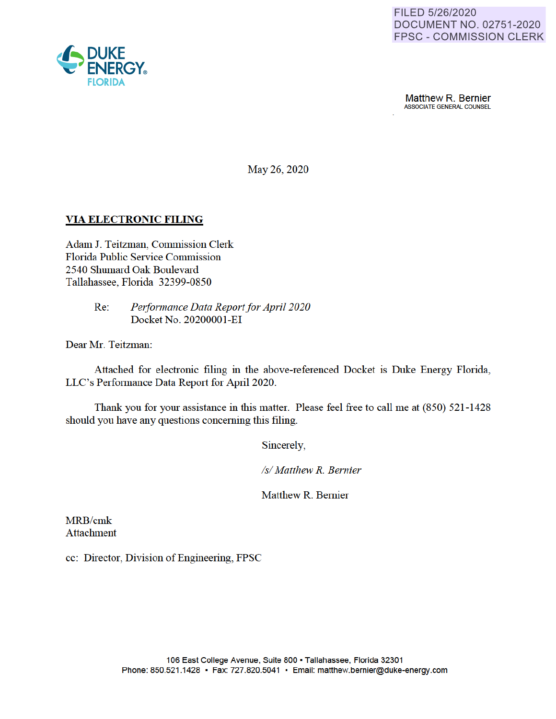

**Matthew R. Bernier**<br>ASSOCIATE GENERAL COUNSEL

May 26, 2020

### **VIA ELECTRONIC FILING**

Adam J. Teitzman, Commission Clerk Florida Public Service Commission 2540 Shumard Oak Boulevard Tallahassee, Florida 32399-0850

> Re: *Performance Data Report for April 2020*  Docket No. 2020000 I-EI

Dear Mr. Teitzman:

Attached for electronic filing in the above-referenced Docket is Duke Energy Florida, LLC's Performance Data Report for April 2020.

Thank you for your assistance in this matter. Please feel free to call me at (850) 521-1428 should you have any questions concerning this filing.

Sincerely

*Isl Matthew R. Bernier* 

Matthew R. Bernier

MRB/cmk Attachment

cc: Director, Division of Engineering, FPSC

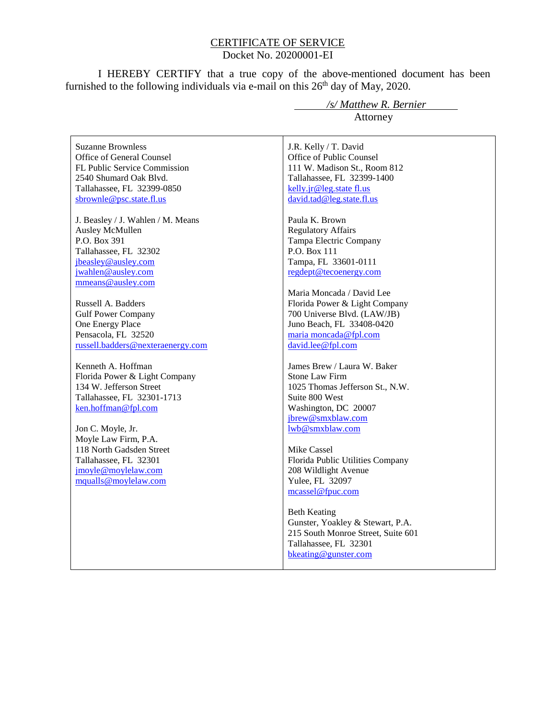### CERTIFICATE OF SERVICE Docket No. 20200001-EI

I HEREBY CERTIFY that a true copy of the above-mentioned document has been furnished to the following individuals via e-mail on this  $26<sup>th</sup>$  day of May, 2020.

Suzanne Brownless Office of General Counsel FL Public Service Commission 2540 Shumard Oak Blvd. Tallahassee, FL 32399-0850 sbrownle@psc.state.fl.us

J. Beasley / J. Wahlen / M. Means Ausley McMullen P.O. Box 391 Tallahassee, FL 32302 jbeasley@ausley.com jwahlen@ausley.com mmeans@ausley.com

Russell A. Badders Gulf Power Company One Energy Place Pensacola, FL 32520 russell.badders@nexteraenergy.com

Kenneth A. Hoffman Florida Power & Light Company 134 W. Jefferson Street Tallahassee, FL 32301-1713 ken.hoffman@fpl.com

Jon C. Moyle, Jr. Moyle Law Firm, P.A. 118 North Gadsden Street Tallahassee, FL 32301 jmoyle@moylelaw.com mqualls@moylelaw.com

 */s/ Matthew R. Bernier* Attorney

J.R. Kelly / T. David Office of Public Counsel 111 W. Madison St., Room 812 Tallahassee, FL 32399-1400 kelly.jr@leg.state fl.us david.tad@leg.state.fl.us

Paula K. Brown Regulatory Affairs Tampa Electric Company P.O. Box 111 Tampa, FL 33601-0111 regdept@tecoenergy.com

Maria Moncada / David Lee Florida Power & Light Company 700 Universe Blvd. (LAW/JB) Juno Beach, FL 33408-0420 maria moncada@fpl.com david.lee@fpl.com

James Brew / Laura W. Baker Stone Law Firm 1025 Thomas Jefferson St., N.W. Suite 800 West Washington, DC 20007 jbrew@smxblaw.com lwb@smxblaw.com

Mike Cassel Florida Public Utilities Company 208 Wildlight Avenue Yulee, FL 32097 mcassel@fpuc.com

Beth Keating Gunster, Yoakley & Stewart, P.A. 215 South Monroe Street, Suite 601 Tallahassee, FL 32301 bkeating@gunster.com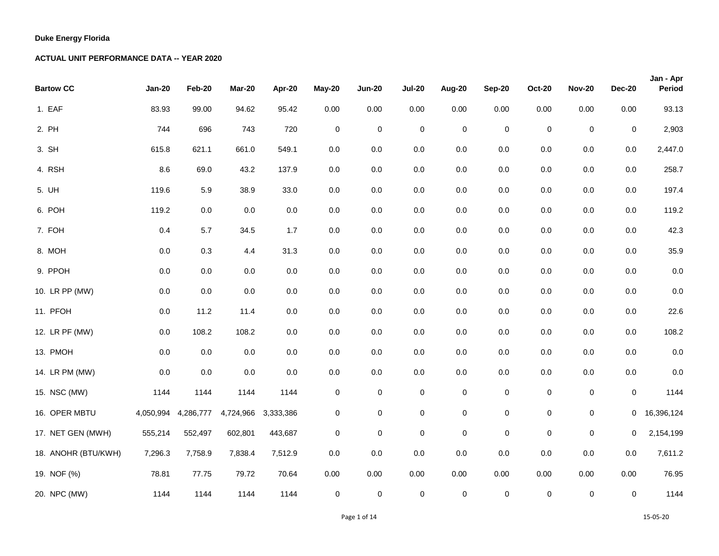| <b>Bartow CC</b>    | <b>Jan-20</b> | Feb-20    | Mar-20    | Apr-20    | <b>May-20</b> | <b>Jun-20</b> | <b>Jul-20</b>       | Aug-20      | <b>Sep-20</b> | <b>Oct-20</b> | <b>Nov-20</b> | <b>Dec-20</b> | Jan - Apr<br>Period |
|---------------------|---------------|-----------|-----------|-----------|---------------|---------------|---------------------|-------------|---------------|---------------|---------------|---------------|---------------------|
| 1. EAF              | 83.93         | 99.00     | 94.62     | 95.42     | 0.00          | 0.00          | 0.00                | 0.00        | 0.00          | 0.00          | 0.00          | 0.00          | 93.13               |
| 2. PH               | 744           | 696       | 743       | 720       | $\mathbf 0$   | $\pmb{0}$     | $\mathbf 0$         | $\mathbf 0$ | $\pmb{0}$     | $\mathsf 0$   | $\mathbf 0$   | $\mathbf 0$   | 2,903               |
| 3. SH               | 615.8         | 621.1     | 661.0     | 549.1     | 0.0           | 0.0           | 0.0                 | 0.0         | 0.0           | $0.0\,$       | $0.0\,$       | 0.0           | 2,447.0             |
| 4. RSH              | 8.6           | 69.0      | 43.2      | 137.9     | $0.0\,$       | $0.0\,$       | 0.0                 | 0.0         | $0.0\,$       | $0.0\,$       | $0.0\,$       | 0.0           | 258.7               |
| 5. UH               | 119.6         | 5.9       | 38.9      | 33.0      | $0.0\,$       | $0.0\,$       | 0.0                 | 0.0         | $0.0\,$       | $0.0\,$       | $0.0\,$       | $0.0\,$       | 197.4               |
| 6. POH              | 119.2         | $0.0\,$   | 0.0       | $0.0\,$   | $0.0\,$       | 0.0           | 0.0                 | 0.0         | $0.0\,$       | $0.0\,$       | $0.0\,$       | 0.0           | 119.2               |
| 7. FOH              | 0.4           | 5.7       | 34.5      | 1.7       | $0.0\,$       | 0.0           | 0.0                 | 0.0         | 0.0           | $0.0\,$       | $0.0\,$       | $0.0\,$       | 42.3                |
| 8. MOH              | $0.0\,$       | 0.3       | 4.4       | 31.3      | $0.0\,$       | 0.0           | 0.0                 | 0.0         | 0.0           | $0.0\,$       | $0.0\,$       | $0.0\,$       | 35.9                |
| 9. PPOH             | 0.0           | $0.0\,$   | 0.0       | $0.0\,$   | 0.0           | $0.0\,$       | 0.0                 | 0.0         | 0.0           | 0.0           | $0.0\,$       | 0.0           | 0.0                 |
| 10. LR PP (MW)      | $0.0\,$       | 0.0       | $0.0\,$   | $0.0\,$   | $0.0\,$       | $0.0\,$       | 0.0                 | 0.0         | $0.0\,$       | $0.0\,$       | $0.0\,$       | $0.0\,$       | 0.0                 |
| 11. PFOH            | $0.0\,$       | 11.2      | 11.4      | $0.0\,$   | $0.0\,$       | $0.0\,$       | 0.0                 | $0.0\,$     | $0.0\,$       | 0.0           | $0.0\,$       | $0.0\,$       | 22.6                |
| 12. LR PF (MW)      | 0.0           | 108.2     | 108.2     | $0.0\,$   | 0.0           | 0.0           | 0.0                 | 0.0         | 0.0           | $0.0\,$       | $0.0\,$       | 0.0           | 108.2               |
| 13. PMOH            | $0.0\,$       | $0.0\,$   | 0.0       | 0.0       | $0.0\,$       | $0.0\,$       | 0.0                 | 0.0         | $0.0\,$       | $0.0\,$       | $0.0\,$       | $0.0\,$       | 0.0                 |
| 14. LR PM (MW)      | 0.0           | $0.0\,$   | 0.0       | $0.0\,$   | $0.0\,$       | 0.0           | $0.0\,$             | 0.0         | $0.0\,$       | $0.0\,$       | $0.0\,$       | 0.0           | 0.0                 |
| 15. NSC (MW)        | 1144          | 1144      | 1144      | 1144      | $\pmb{0}$     | 0             | 0                   | $\pmb{0}$   | $\pmb{0}$     | $\mathbf 0$   | $\pmb{0}$     | $\mathbf 0$   | 1144                |
| 16. OPER MBTU       | 4,050,994     | 4,286,777 | 4,724,966 | 3,333,386 | 0             | $\mathbf 0$   | $\pmb{0}$           | $\pmb{0}$   | $\mathbf 0$   | 0             | $\pmb{0}$     | $\mathbf{O}$  | 16,396,124          |
| 17. NET GEN (MWH)   | 555,214       | 552,497   | 602,801   | 443,687   | $\pmb{0}$     | $\mathbf 0$   | $\pmb{0}$           | $\pmb{0}$   | $\pmb{0}$     | $\mathbf 0$   | $\mathsf 0$   | 0             | 2,154,199           |
| 18. ANOHR (BTU/KWH) | 7,296.3       | 7,758.9   | 7,838.4   | 7,512.9   | $0.0\,$       | 0.0           | 0.0                 | 0.0         | 0.0           | $0.0\,$       | $0.0\,$       | 0.0           | 7,611.2             |
| 19. NOF (%)         | 78.81         | 77.75     | 79.72     | 70.64     | 0.00          | 0.00          | 0.00                | 0.00        | 0.00          | 0.00          | 0.00          | 0.00          | 76.95               |
| 20. NPC (MW)        | 1144          | 1144      | 1144      | 1144      | 0             | $\pmb{0}$     | $\mathsf{O}\xspace$ | $\pmb{0}$   | $\mathsf 0$   | 0             | $\pmb{0}$     | 0             | 1144                |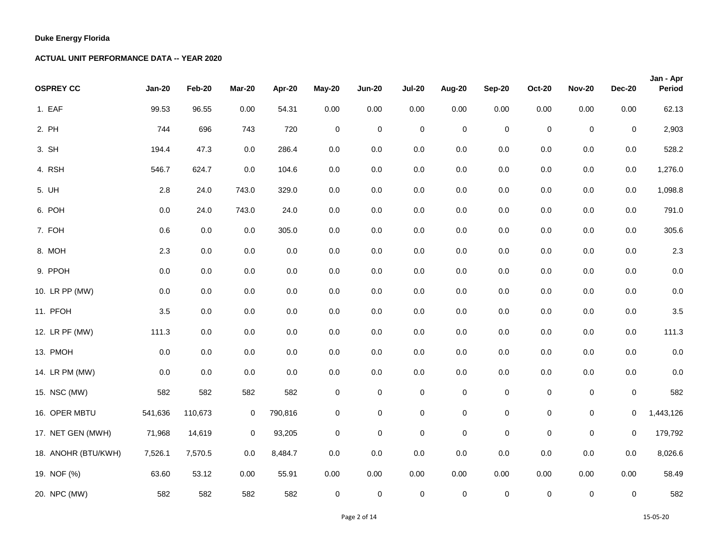| <b>OSPREY CC</b>    | <b>Jan-20</b> | Feb-20  | Mar-20      | Apr-20  | <b>May-20</b> | <b>Jun-20</b> | <b>Jul-20</b> | Aug-20      | <b>Sep-20</b> | <b>Oct-20</b> | <b>Nov-20</b> | <b>Dec-20</b> | Jan - Apr<br>Period |
|---------------------|---------------|---------|-------------|---------|---------------|---------------|---------------|-------------|---------------|---------------|---------------|---------------|---------------------|
| 1. EAF              | 99.53         | 96.55   | 0.00        | 54.31   | 0.00          | 0.00          | $0.00\,$      | 0.00        | 0.00          | 0.00          | 0.00          | 0.00          | 62.13               |
| 2. PH               | 744           | 696     | 743         | 720     | $\mathsf 0$   | $\pmb{0}$     | $\pmb{0}$     | $\mathbf 0$ | $\mathbf 0$   | $\pmb{0}$     | $\pmb{0}$     | $\mathbf 0$   | 2,903               |
| 3. SH               | 194.4         | 47.3    | 0.0         | 286.4   | $0.0\,$       | 0.0           | $0.0\,$       | $0.0\,$     | $0.0\,$       | 0.0           | 0.0           | 0.0           | 528.2               |
| 4. RSH              | 546.7         | 624.7   | 0.0         | 104.6   | $0.0\,$       | 0.0           | 0.0           | $0.0\,$     | $0.0\,$       | $0.0\,$       | $0.0\,$       | 0.0           | 1,276.0             |
| 5. UH               | 2.8           | 24.0    | 743.0       | 329.0   | $0.0\,$       | $0.0\,$       | $0.0\,$       | $0.0\,$     | $0.0\,$       | $0.0\,$       | $0.0\,$       | 0.0           | 1,098.8             |
| 6. POH              | $0.0\,$       | 24.0    | 743.0       | 24.0    | 0.0           | 0.0           | 0.0           | $0.0\,$     | $0.0\,$       | $0.0\,$       | $0.0\,$       | 0.0           | 791.0               |
| 7. FOH              | 0.6           | 0.0     | $0.0\,$     | 305.0   | 0.0           | 0.0           | $0.0\,$       | $0.0\,$     | $0.0\,$       | $0.0\,$       | $0.0\,$       | 0.0           | 305.6               |
| 8. MOH              | 2.3           | 0.0     | 0.0         | 0.0     | $0.0\,$       | 0.0           | $0.0\,$       | $0.0\,$     | $0.0\,$       | $0.0\,$       | 0.0           | $0.0\,$       | 2.3                 |
| 9. PPOH             | $0.0\,$       | 0.0     | 0.0         | 0.0     | 0.0           | $0.0\,$       | 0.0           | 0.0         | 0.0           | 0.0           | 0.0           | $0.0\,$       | $0.0\,$             |
| 10. LR PP (MW)      | $0.0\,$       | $0.0\,$ | $0.0\,$     | 0.0     | $0.0\,$       | $0.0\,$       | $0.0\,$       | $0.0\,$     | $0.0\,$       | $0.0\,$       | $0.0\,$       | $0.0\,$       | $0.0\,$             |
| 11. PFOH            | 3.5           | $0.0\,$ | 0.0         | 0.0     | $0.0\,$       | 0.0           | $0.0\,$       | 0.0         | $0.0\,$       | $0.0\,$       | $0.0\,$       | $0.0\,$       | 3.5                 |
| 12. LR PF (MW)      | 111.3         | 0.0     | $0.0\,$     | 0.0     | 0.0           | $0.0\,$       | 0.0           | $0.0\,$     | $0.0\,$       | $0.0\,$       | 0.0           | 0.0           | 111.3               |
| 13. PMOH            | $0.0\,$       | $0.0\,$ | $0.0\,$     | 0.0     | $0.0\,$       | 0.0           | $0.0\,$       | $0.0\,$     | $0.0\,$       | $0.0\,$       | 0.0           | $0.0\,$       | $0.0\,$             |
| 14. LR PM (MW)      | 0.0           | 0.0     | 0.0         | 0.0     | 0.0           | $0.0\,$       | $0.0\,$       | $0.0\,$     | $0.0\,$       | $0.0\,$       | 0.0           | $0.0\,$       | 0.0                 |
| 15. NSC (MW)        | 582           | 582     | 582         | 582     | $\pmb{0}$     | 0             | $\pmb{0}$     | $\pmb{0}$   | $\pmb{0}$     | $\pmb{0}$     | $\pmb{0}$     | $\pmb{0}$     | 582                 |
| 16. OPER MBTU       | 541,636       | 110,673 | 0           | 790,816 | 0             | $\pmb{0}$     | $\pmb{0}$     | $\pmb{0}$   | $\mathsf 0$   | $\pmb{0}$     | 0             | 0             | 1,443,126           |
| 17. NET GEN (MWH)   | 71,968        | 14,619  | $\mathbf 0$ | 93,205  | $\pmb{0}$     | $\pmb{0}$     | $\mathbf 0$   | $\mathsf 0$ | $\mathsf 0$   | $\pmb{0}$     | $\pmb{0}$     | $\mathbf 0$   | 179,792             |
| 18. ANOHR (BTU/KWH) | 7,526.1       | 7,570.5 | 0.0         | 8,484.7 | 0.0           | 0.0           | 0.0           | $0.0\,$     | 0.0           | 0.0           | 0.0           | 0.0           | 8,026.6             |
| 19. NOF (%)         | 63.60         | 53.12   | 0.00        | 55.91   | 0.00          | 0.00          | 0.00          | 0.00        | 0.00          | 0.00          | 0.00          | 0.00          | 58.49               |
| 20. NPC (MW)        | 582           | 582     | 582         | 582     | 0             | $\pmb{0}$     | $\pmb{0}$     | $\mathsf 0$ | $\mathsf 0$   | $\mathsf 0$   | $\pmb{0}$     | $\mathbf 0$   | 582                 |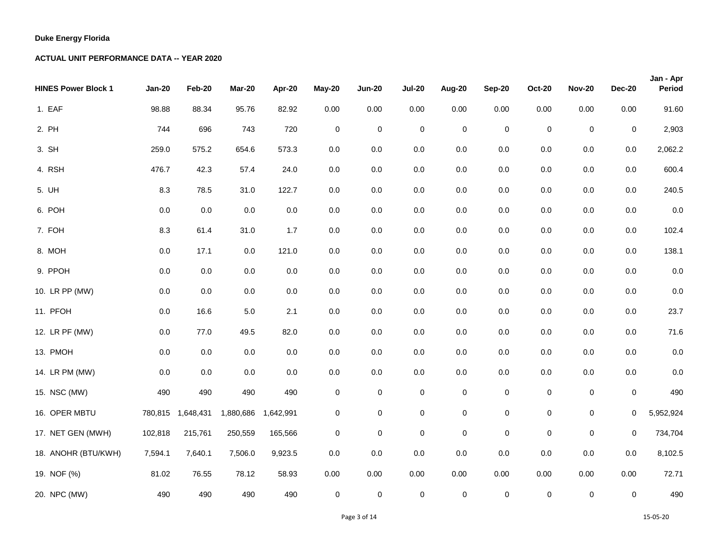| <b>HINES Power Block 1</b> | <b>Jan-20</b> | Feb-20    | Mar-20    | Apr-20    | <b>May-20</b> | <b>Jun-20</b> | <b>Jul-20</b> | Aug-20      | <b>Sep-20</b> | <b>Oct-20</b> | <b>Nov-20</b> | <b>Dec-20</b> | Jan - Apr<br>Period |
|----------------------------|---------------|-----------|-----------|-----------|---------------|---------------|---------------|-------------|---------------|---------------|---------------|---------------|---------------------|
| 1. EAF                     | 98.88         | 88.34     | 95.76     | 82.92     | 0.00          | 0.00          | 0.00          | 0.00        | 0.00          | 0.00          | 0.00          | 0.00          | 91.60               |
| 2. PH                      | 744           | 696       | 743       | 720       | $\mathsf 0$   | $\pmb{0}$     | $\pmb{0}$     | $\mathbf 0$ | $\mathsf 0$   | $\pmb{0}$     | $\pmb{0}$     | $\pmb{0}$     | 2,903               |
| 3. SH                      | 259.0         | 575.2     | 654.6     | 573.3     | 0.0           | 0.0           | 0.0           | $0.0\,$     | 0.0           | 0.0           | 0.0           | 0.0           | 2,062.2             |
| 4. RSH                     | 476.7         | 42.3      | 57.4      | 24.0      | 0.0           | 0.0           | 0.0           | $0.0\,$     | $0.0\,$       | $0.0\,$       | 0.0           | 0.0           | 600.4               |
| 5. UH                      | 8.3           | 78.5      | 31.0      | 122.7     | 0.0           | $0.0\,$       | 0.0           | $0.0\,$     | $0.0\,$       | $0.0\,$       | 0.0           | $0.0\,$       | 240.5               |
| 6. POH                     | $0.0\,$       | 0.0       | 0.0       | 0.0       | 0.0           | 0.0           | 0.0           | $0.0\,$     | 0.0           | 0.0           | $0.0\,$       | 0.0           | $0.0\,$             |
| 7. FOH                     | 8.3           | 61.4      | 31.0      | 1.7       | 0.0           | 0.0           | 0.0           | $0.0\,$     | $0.0\,$       | $0.0\,$       | 0.0           | $0.0\,$       | 102.4               |
| 8. MOH                     | $0.0\,$       | 17.1      | 0.0       | 121.0     | 0.0           | 0.0           | $0.0\,$       | $0.0\,$     | 0.0           | $0.0\,$       | 0.0           | 0.0           | 138.1               |
| 9. PPOH                    | 0.0           | $0.0\,$   | 0.0       | 0.0       | 0.0           | $0.0\,$       | 0.0           | 0.0         | 0.0           | 0.0           | 0.0           | 0.0           | $0.0\,$             |
| 10. LR PP (MW)             | $0.0\,$       | $0.0\,$   | $0.0\,$   | 0.0       | $0.0\,$       | $0.0\,$       | $0.0\,$       | $0.0\,$     | $0.0\,$       | $0.0\,$       | $0.0\,$       | $0.0\,$       | $0.0\,$             |
| 11. PFOH                   | $0.0\,$       | 16.6      | $5.0\,$   | 2.1       | 0.0           | 0.0           | $0.0\,$       | $0.0\,$     | $0.0\,$       | $0.0\,$       | 0.0           | $0.0\,$       | 23.7                |
| 12. LR PF (MW)             | 0.0           | 77.0      | 49.5      | 82.0      | 0.0           | $0.0\,$       | 0.0           | $0.0\,$     | $0.0\,$       | 0.0           | 0.0           | 0.0           | 71.6                |
| 13. PMOH                   | $0.0\,$       | 0.0       | 0.0       | 0.0       | 0.0           | 0.0           | 0.0           | $0.0\,$     | $0.0\,$       | $0.0\,$       | 0.0           | $0.0\,$       | $0.0\,$             |
| 14. LR PM (MW)             | 0.0           | 0.0       | $0.0\,$   | 0.0       | 0.0           | $0.0\,$       | $0.0\,$       | $0.0\,$     | $0.0\,$       | $0.0\,$       | 0.0           | $0.0\,$       | 0.0                 |
| 15. NSC (MW)               | 490           | 490       | 490       | 490       | 0             | 0             | $\pmb{0}$     | $\pmb{0}$   | $\pmb{0}$     | $\pmb{0}$     | $\pmb{0}$     | $\mathbf 0$   | 490                 |
| 16. OPER MBTU              | 780,815       | 1,648,431 | 1,880,686 | 1,642,991 | 0             | $\pmb{0}$     | $\pmb{0}$     | 0           | $\pmb{0}$     | 0             | $\mathbf 0$   | 0             | 5,952,924           |
| 17. NET GEN (MWH)          | 102,818       | 215,761   | 250,559   | 165,566   | $\pmb{0}$     | $\pmb{0}$     | $\pmb{0}$     | $\mathsf 0$ | $\mathsf 0$   | $\pmb{0}$     | $\pmb{0}$     | $\mathbf 0$   | 734,704             |
| 18. ANOHR (BTU/KWH)        | 7,594.1       | 7,640.1   | 7,506.0   | 9,923.5   | 0.0           | 0.0           | 0.0           | $0.0\,$     | 0.0           | 0.0           | 0.0           | 0.0           | 8,102.5             |
| 19. NOF (%)                | 81.02         | 76.55     | 78.12     | 58.93     | 0.00          | 0.00          | 0.00          | 0.00        | 0.00          | 0.00          | 0.00          | 0.00          | 72.71               |
| 20. NPC (MW)               | 490           | 490       | 490       | 490       | $\mathbf 0$   | $\pmb{0}$     | $\pmb{0}$     | $\pmb{0}$   | $\mathsf 0$   | $\mathbf 0$   | $\pmb{0}$     | $\mathbf 0$   | 490                 |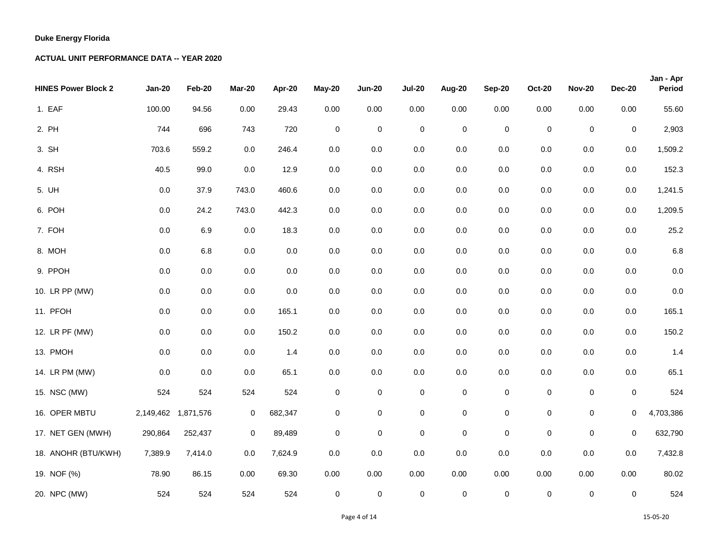| <b>HINES Power Block 2</b> | <b>Jan-20</b> | Feb-20    | Mar-20      | Apr-20  | <b>May-20</b> | <b>Jun-20</b> | <b>Jul-20</b>       | Aug-20      | <b>Sep-20</b> | <b>Oct-20</b> | <b>Nov-20</b> | <b>Dec-20</b> | Jan - Apr<br>Period |
|----------------------------|---------------|-----------|-------------|---------|---------------|---------------|---------------------|-------------|---------------|---------------|---------------|---------------|---------------------|
| 1. EAF                     | 100.00        | 94.56     | 0.00        | 29.43   | 0.00          | 0.00          | 0.00                | 0.00        | 0.00          | 0.00          | 0.00          | 0.00          | 55.60               |
| 2. PH                      | 744           | 696       | 743         | 720     | $\mathbf 0$   | $\pmb{0}$     | $\pmb{0}$           | $\mathbf 0$ | $\pmb{0}$     | $\mathsf 0$   | $\mathbf 0$   | $\mathbf 0$   | 2,903               |
| 3. SH                      | 703.6         | 559.2     | 0.0         | 246.4   | $0.0\,$       | 0.0           | 0.0                 | 0.0         | 0.0           | $0.0\,$       | $0.0\,$       | 0.0           | 1,509.2             |
| 4. RSH                     | 40.5          | 99.0      | 0.0         | 12.9    | $0.0\,$       | $0.0\,$       | 0.0                 | 0.0         | $0.0\,$       | $0.0\,$       | $0.0\,$       | 0.0           | 152.3               |
| 5. UH                      | $0.0\,$       | 37.9      | 743.0       | 460.6   | $0.0\,$       | $0.0\,$       | 0.0                 | 0.0         | $0.0\,$       | 0.0           | $0.0\,$       | 0.0           | 1,241.5             |
| 6. POH                     | $0.0\,$       | 24.2      | 743.0       | 442.3   | $0.0\,$       | 0.0           | 0.0                 | 0.0         | $0.0\,$       | $0.0\,$       | $0.0\,$       | 0.0           | 1,209.5             |
| 7. FOH                     | $0.0\,$       | 6.9       | 0.0         | 18.3    | $0.0\,$       | 0.0           | 0.0                 | 0.0         | $0.0\,$       | $0.0\,$       | $0.0\,$       | $0.0\,$       | 25.2                |
| 8. MOH                     | $0.0\,$       | 6.8       | 0.0         | 0.0     | $0.0\,$       | 0.0           | 0.0                 | 0.0         | 0.0           | $0.0\,$       | $0.0\,$       | $0.0\,$       | $6.8\,$             |
| 9. PPOH                    | 0.0           | $0.0\,$   | 0.0         | $0.0\,$ | $0.0\,$       | 0.0           | 0.0                 | 0.0         | 0.0           | 0.0           | $0.0\,$       | 0.0           | 0.0                 |
| 10. LR PP (MW)             | $0.0\,$       | $0.0\,$   | $0.0\,$     | $0.0\,$ | $0.0\,$       | $0.0\,$       | 0.0                 | 0.0         | $0.0\,$       | $0.0\,$       | $0.0\,$       | $0.0\,$       | 0.0                 |
| 11. PFOH                   | $0.0\,$       | $0.0\,$   | 0.0         | 165.1   | $0.0\,$       | $0.0\,$       | 0.0                 | 0.0         | $0.0\,$       | $0.0\,$       | $0.0\,$       | $0.0\,$       | 165.1               |
| 12. LR PF (MW)             | 0.0           | $0.0\,$   | 0.0         | 150.2   | 0.0           | 0.0           | 0.0                 | 0.0         | 0.0           | 0.0           | $0.0\,$       | 0.0           | 150.2               |
| 13. PMOH                   | $0.0\,$       | 0.0       | 0.0         | 1.4     | $0.0\,$       | 0.0           | 0.0                 | 0.0         | $0.0\,$       | 0.0           | $0.0\,$       | $0.0\,$       | 1.4                 |
| 14. LR PM (MW)             | 0.0           | 0.0       | 0.0         | 65.1    | $0.0\,$       | 0.0           | $0.0\,$             | 0.0         | $0.0\,$       | 0.0           | $0.0\,$       | 0.0           | 65.1                |
| 15. NSC (MW)               | 524           | 524       | 524         | 524     | $\pmb{0}$     | 0             | $\pmb{0}$           | $\pmb{0}$   | $\pmb{0}$     | $\mathbf 0$   | $\pmb{0}$     | $\mathbf 0$   | 524                 |
| 16. OPER MBTU              | 2,149,462     | 1,871,576 | 0           | 682,347 | 0             | $\mathbf 0$   | $\mathsf 0$         | $\pmb{0}$   | $\pmb{0}$     | 0             | $\pmb{0}$     | 0             | 4,703,386           |
| 17. NET GEN (MWH)          | 290,864       | 252,437   | $\mathbf 0$ | 89,489  | $\pmb{0}$     | $\pmb{0}$     | $\pmb{0}$           | $\pmb{0}$   | $\mathsf 0$   | $\mathbf 0$   | $\mathsf 0$   | $\mathbf 0$   | 632,790             |
| 18. ANOHR (BTU/KWH)        | 7,389.9       | 7,414.0   | 0.0         | 7,624.9 | 0.0           | $0.0\,$       | 0.0                 | 0.0         | 0.0           | $0.0\,$       | $0.0\,$       | 0.0           | 7,432.8             |
| 19. NOF (%)                | 78.90         | 86.15     | 0.00        | 69.30   | 0.00          | 0.00          | 0.00                | 0.00        | 0.00          | 0.00          | 0.00          | 0.00          | 80.02               |
| 20. NPC (MW)               | 524           | 524       | 524         | 524     | $\pmb{0}$     | $\pmb{0}$     | $\mathsf{O}\xspace$ | $\pmb{0}$   | $\mathsf 0$   | 0             | $\pmb{0}$     | $\mathbf 0$   | 524                 |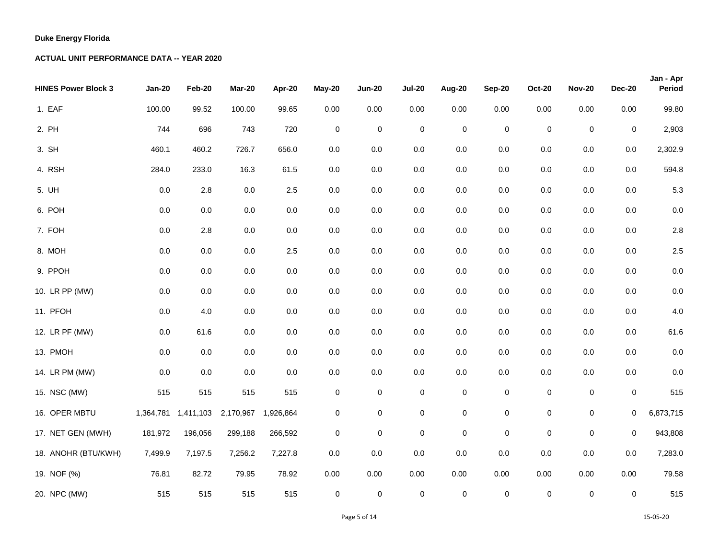| <b>HINES Power Block 3</b> | <b>Jan-20</b> | Feb-20               | <b>Mar-20</b> | Apr-20    | May-20      | <b>Jun-20</b> | <b>Jul-20</b> | Aug-20      | <b>Sep-20</b> | <b>Oct-20</b>       | <b>Nov-20</b> | <b>Dec-20</b> | Jan - Apr<br>Period |
|----------------------------|---------------|----------------------|---------------|-----------|-------------|---------------|---------------|-------------|---------------|---------------------|---------------|---------------|---------------------|
| 1. EAF                     | 100.00        | 99.52                | 100.00        | 99.65     | 0.00        | 0.00          | 0.00          | 0.00        | 0.00          | 0.00                | 0.00          | 0.00          | 99.80               |
| 2. PH                      | 744           | 696                  | 743           | 720       | $\mathbf 0$ | $\pmb{0}$     | $\pmb{0}$     | $\pmb{0}$   | $\pmb{0}$     | $\mathsf{O}\xspace$ | $\pmb{0}$     | $\mathbf 0$   | 2,903               |
| 3. SH                      | 460.1         | 460.2                | 726.7         | 656.0     | 0.0         | 0.0           | 0.0           | 0.0         | 0.0           | $0.0\,$             | 0.0           | 0.0           | 2,302.9             |
| 4. RSH                     | 284.0         | 233.0                | 16.3          | 61.5      | $0.0\,$     | $0.0\,$       | 0.0           | 0.0         | $0.0\,$       | $0.0\,$             | $0.0\,$       | 0.0           | 594.8               |
| 5. UH                      | $0.0\,$       | $2.8\,$              | $0.0\,$       | $2.5\,$   | $0.0\,$     | $0.0\,$       | $0.0\,$       | 0.0         | $0.0\,$       | $0.0\,$             | $0.0\,$       | $0.0\,$       | 5.3                 |
| 6. POH                     | 0.0           | 0.0                  | 0.0           | $0.0\,$   | 0.0         | $0.0\,$       | 0.0           | 0.0         | 0.0           | 0.0                 | $0.0\,$       | $0.0\,$       | $0.0\,$             |
| 7. FOH                     | 0.0           | 2.8                  | 0.0           | $0.0\,$   | $0.0\,$     | 0.0           | 0.0           | 0.0         | 0.0           | $0.0\,$             | 0.0           | $0.0\,$       | 2.8                 |
| 8. MOH                     | 0.0           | 0.0                  | 0.0           | 2.5       | $0.0\,$     | 0.0           | 0.0           | 0.0         | $0.0\,$       | $0.0\,$             | $0.0\,$       | $0.0\,$       | 2.5                 |
| 9. PPOH                    | 0.0           | 0.0                  | 0.0           | $0.0\,$   | $0.0\,$     | 0.0           | 0.0           | 0.0         | 0.0           | 0.0                 | 0.0           | 0.0           | $0.0\,$             |
| 10. LR PP (MW)             | 0.0           | $0.0\,$              | $0.0\,$       | $0.0\,$   | $0.0\,$     | $0.0\,$       | $0.0\,$       | 0.0         | $0.0\,$       | $0.0\,$             | $0.0\,$       | $0.0\,$       | $0.0\,$             |
| 11. PFOH                   | $0.0\,$       | 4.0                  | $0.0\,$       | $0.0\,$   | $0.0\,$     | $0.0\,$       | $0.0\,$       | 0.0         | $0.0\,$       | $0.0\,$             | 0.0           | $0.0\,$       | 4.0                 |
| 12. LR PF (MW)             | 0.0           | 61.6                 | 0.0           | $0.0\,$   | $0.0\,$     | 0.0           | 0.0           | 0.0         | 0.0           | 0.0                 | 0.0           | 0.0           | 61.6                |
| 13. PMOH                   | 0.0           | $0.0\,$              | 0.0           | 0.0       | $0.0\,$     | $0.0\,$       | 0.0           | 0.0         | $0.0\,$       | $0.0\,$             | $0.0\,$       | $0.0\,$       | $0.0\,$             |
| 14. LR PM (MW)             | 0.0           | 0.0                  | 0.0           | $0.0\,$   | $0.0\,$     | 0.0           | $0.0\,$       | 0.0         | $0.0\,$       | $0.0\,$             | $0.0\,$       | $0.0\,$       | $0.0\,$             |
| 15. NSC (MW)               | 515           | 515                  | 515           | 515       | $\pmb{0}$   | 0             | $\pmb{0}$     | $\pmb{0}$   | $\pmb{0}$     | $\mathsf 0$         | $\pmb{0}$     | $\mathbf 0$   | 515                 |
| 16. OPER MBTU              |               | 1,364,781  1,411,103 | 2,170,967     | 1,926,864 | 0           | $\mathbf 0$   | $\mathbf 0$   | $\pmb{0}$   | $\pmb{0}$     | 0                   | $\mathbf 0$   | 0             | 6,873,715           |
| 17. NET GEN (MWH)          | 181,972       | 196,056              | 299,188       | 266,592   | 0           | $\mathbf 0$   | $\mathbf 0$   | $\mathbf 0$ | $\mathsf 0$   | $\mathsf 0$         | $\pmb{0}$     | $\mathbf 0$   | 943,808             |
| 18. ANOHR (BTU/KWH)        | 7,499.9       | 7,197.5              | 7,256.2       | 7,227.8   | $0.0\,$     | 0.0           | 0.0           | 0.0         | 0.0           | $0.0\,$             | 0.0           | 0.0           | 7,283.0             |
| 19. NOF (%)                | 76.81         | 82.72                | 79.95         | 78.92     | 0.00        | 0.00          | 0.00          | 0.00        | 0.00          | 0.00                | 0.00          | 0.00          | 79.58               |
| 20. NPC (MW)               | 515           | 515                  | 515           | 515       | $\pmb{0}$   | $\pmb{0}$     | $\pmb{0}$     | $\pmb{0}$   | $\mathsf 0$   | 0                   | $\pmb{0}$     | $\mathbf 0$   | 515                 |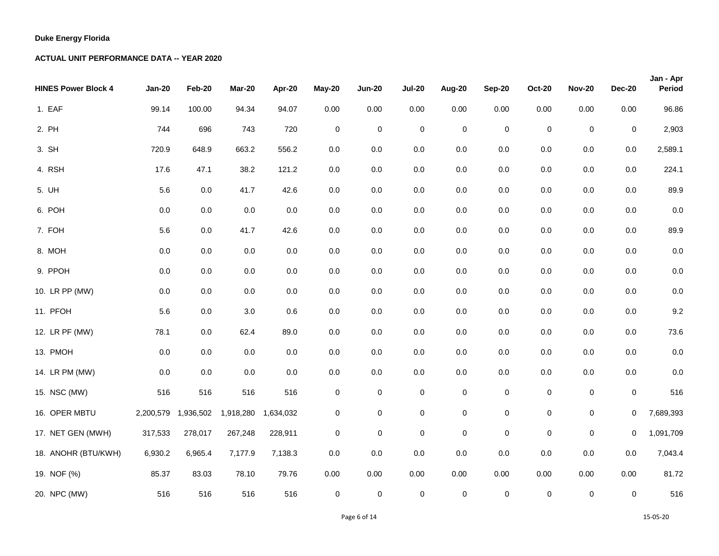| <b>HINES Power Block 4</b> | <b>Jan-20</b> | Feb-20    | Mar-20    | Apr-20    | May-20      | <b>Jun-20</b> | <b>Jul-20</b> | Aug-20    | Sep-20      | <b>Oct-20</b>    | <b>Nov-20</b> | <b>Dec-20</b> | Jan - Apr<br>Period |
|----------------------------|---------------|-----------|-----------|-----------|-------------|---------------|---------------|-----------|-------------|------------------|---------------|---------------|---------------------|
| 1. EAF                     | 99.14         | 100.00    | 94.34     | 94.07     | 0.00        | 0.00          | 0.00          | 0.00      | 0.00        | 0.00             | $0.00\,$      | 0.00          | 96.86               |
| 2. PH                      | 744           | 696       | 743       | 720       | $\mathsf 0$ | $\mathsf 0$   | $\mathbf 0$   | $\pmb{0}$ | $\pmb{0}$   | $\boldsymbol{0}$ | $\mathbf 0$   | 0             | 2,903               |
| 3. SH                      | 720.9         | 648.9     | 663.2     | 556.2     | $0.0\,$     | 0.0           | 0.0           | 0.0       | 0.0         | 0.0              | 0.0           | 0.0           | 2,589.1             |
| 4. RSH                     | 17.6          | 47.1      | 38.2      | 121.2     | $0.0\,$     | $0.0\,$       | 0.0           | $0.0\,$   | 0.0         | 0.0              | $0.0\,$       | $0.0\,$       | 224.1               |
| 5. UH                      | 5.6           | $0.0\,$   | 41.7      | 42.6      | 0.0         | $0.0\,$       | $0.0\,$       | $0.0\,$   | 0.0         | $0.0\,$          | $0.0\,$       | $0.0\,$       | 89.9                |
| 6. POH                     | 0.0           | 0.0       | 0.0       | 0.0       | 0.0         | $0.0\,$       | 0.0           | 0.0       | 0.0         | 0.0              | $0.0\,$       | $0.0\,$       | 0.0                 |
| 7. FOH                     | 5.6           | 0.0       | 41.7      | 42.6      | 0.0         | $0.0\,$       | 0.0           | $0.0\,$   | 0.0         | 0.0              | $0.0\,$       | $0.0\,$       | 89.9                |
| 8. MOH                     | 0.0           | 0.0       | $0.0\,$   | $0.0\,$   | 0.0         | $0.0\,$       | $0.0\,$       | $0.0\,$   | 0.0         | $0.0\,$          | $0.0\,$       | $0.0\,$       | 0.0                 |
| 9. PPOH                    | 0.0           | 0.0       | $0.0\,$   | 0.0       | 0.0         | $0.0\,$       | 0.0           | 0.0       | 0.0         | 0.0              | $0.0\,$       | $0.0\,$       | 0.0                 |
| 10. LR PP (MW)             | $0.0\,$       | $0.0\,$   | $0.0\,$   | $0.0\,$   | $0.0\,$     | $0.0\,$       | 0.0           | $0.0\,$   | 0.0         | 0.0              | $0.0\,$       | $0.0\,$       | 0.0                 |
| 11. PFOH                   | 5.6           | 0.0       | 3.0       | $0.6\,$   | $0.0\,$     | $0.0\,$       | 0.0           | $0.0\,$   | 0.0         | $0.0\,$          | $0.0\,$       | $0.0\,$       | 9.2                 |
| 12. LR PF (MW)             | 78.1          | 0.0       | 62.4      | 89.0      | 0.0         | $0.0\,$       | 0.0           | 0.0       | 0.0         | 0.0              | 0.0           | 0.0           | 73.6                |
| 13. PMOH                   | 0.0           | 0.0       | $0.0\,$   | $0.0\,$   | $0.0\,$     | $0.0\,$       | 0.0           | $0.0\,$   | 0.0         | $0.0\,$          | $0.0\,$       | $0.0\,$       | 0.0                 |
| 14. LR PM (MW)             | 0.0           | 0.0       | $0.0\,$   | $0.0\,$   | 0.0         | $0.0\,$       | 0.0           | $0.0\,$   | 0.0         | $0.0\,$          | $0.0\,$       | 0.0           | 0.0                 |
| 15. NSC (MW)               | 516           | 516       | 516       | 516       | 0           | 0             | $\mathbf 0$   | 0         | $\pmb{0}$   | $\mathsf 0$      | $\pmb{0}$     | 0             | 516                 |
| 16. OPER MBTU              | 2,200,579     | 1,936,502 | 1,918,280 | 1,634,032 | 0           | $\pmb{0}$     | $\pmb{0}$     | $\pmb{0}$ | $\mathsf 0$ | $\pmb{0}$        | $\mathbf 0$   | 0             | 7,689,393           |
| 17. NET GEN (MWH)          | 317,533       | 278,017   | 267,248   | 228,911   | 0           | 0             | $\mathbf 0$   | $\pmb{0}$ | $\pmb{0}$   | $\pmb{0}$        | $\pmb{0}$     | 0             | 1,091,709           |
| 18. ANOHR (BTU/KWH)        | 6,930.2       | 6,965.4   | 7,177.9   | 7,138.3   | 0.0         | $0.0\,$       | 0.0           | $0.0\,$   | 0.0         | 0.0              | 0.0           | 0.0           | 7,043.4             |
| 19. NOF (%)                | 85.37         | 83.03     | 78.10     | 79.76     | 0.00        | 0.00          | 0.00          | 0.00      | 0.00        | 0.00             | 0.00          | 0.00          | 81.72               |
| 20. NPC (MW)               | 516           | 516       | 516       | 516       | 0           | $\mathsf 0$   | $\pmb{0}$     | $\pmb{0}$ | $\mathsf 0$ | 0                | $\pmb{0}$     | 0             | 516                 |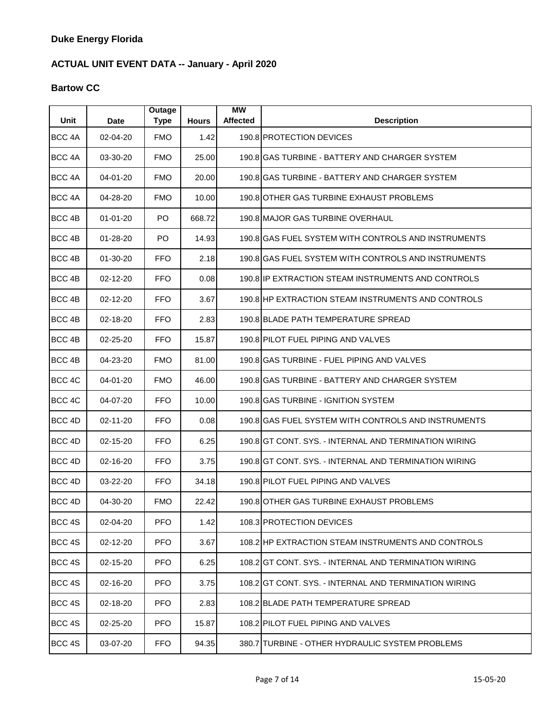# **Bartow CC**

| Unit              | Date           | <b>Outage</b><br><b>Type</b> | <b>Hours</b> | <b>MW</b><br><b>Affected</b> | <b>Description</b>                                    |
|-------------------|----------------|------------------------------|--------------|------------------------------|-------------------------------------------------------|
| BCC <sub>4A</sub> | 02-04-20       | <b>FMO</b>                   | 1.42         |                              | 190.8 PROTECTION DEVICES                              |
| BCC <sub>4A</sub> | 03-30-20       | <b>FMO</b>                   | 25.00        |                              | 190.8 GAS TURBINE - BATTERY AND CHARGER SYSTEM        |
| BCC <sub>4A</sub> | 04-01-20       | <b>FMO</b>                   | 20.00        |                              | 190.8IGAS TURBINE - BATTERY AND CHARGER SYSTEM        |
| BCC <sub>4A</sub> | 04-28-20       | <b>FMO</b>                   | 10.00        |                              | 190.8 OTHER GAS TURBINE EXHAUST PROBLEMS              |
| BCC <sub>4B</sub> | $01 - 01 - 20$ | PO.                          | 668.72       |                              | 190.8 MAJOR GAS TURBINE OVERHAUL                      |
| BCC 4B            | 01-28-20       | PO                           | 14.93        |                              | 190.8 GAS FUEL SYSTEM WITH CONTROLS AND INSTRUMENTS   |
| BCC <sub>4B</sub> | $01 - 30 - 20$ | <b>FFO</b>                   | 2.18         |                              | 190.8 GAS FUEL SYSTEM WITH CONTROLS AND INSTRUMENTS   |
| BCC 4B            | 02-12-20       | <b>FFO</b>                   | 0.08         |                              | 190.8 IP EXTRACTION STEAM INSTRUMENTS AND CONTROLS    |
| BCC 4B            | 02-12-20       | <b>FFO</b>                   | 3.67         |                              | 190.8 HP EXTRACTION STEAM INSTRUMENTS AND CONTROLS    |
| BCC <sub>4B</sub> | 02-18-20       | <b>FFO</b>                   | 2.83         |                              | 190.8 BLADE PATH TEMPERATURE SPREAD                   |
| BCC <sub>4B</sub> | 02-25-20       | <b>FFO</b>                   | 15.87        |                              | 190.8 PILOT FUEL PIPING AND VALVES                    |
| BCC <sub>4B</sub> | 04-23-20       | <b>FMO</b>                   | 81.00        |                              | 190.8 GAS TURBINE - FUEL PIPING AND VALVES            |
| BCC 4C            | 04-01-20       | <b>FMO</b>                   | 46.00        |                              | 190.8 IGAS TURBINE - BATTERY AND CHARGER SYSTEM       |
| BCC 4C            | 04-07-20       | <b>FFO</b>                   | 10.00        |                              | 190.8 GAS TURBINE - IGNITION SYSTEM                   |
| BCC 4D            | 02-11-20       | <b>FFO</b>                   | 0.08         |                              | 190.8 GAS FUEL SYSTEM WITH CONTROLS AND INSTRUMENTS   |
| BCC 4D            | 02-15-20       | <b>FFO</b>                   | 6.25         |                              | 190.8 GT CONT, SYS. - INTERNAL AND TERMINATION WIRING |
| BCC 4D            | 02-16-20       | <b>FFO</b>                   | 3.75         |                              | 190.8 GT CONT. SYS. - INTERNAL AND TERMINATION WIRING |
| BCC <sub>4D</sub> | 03-22-20       | <b>FFO</b>                   | 34.18        |                              | 190.8 PILOT FUEL PIPING AND VALVES                    |
| BCC 4D            | 04-30-20       | <b>FMO</b>                   | 22.42        |                              | 190.8 OTHER GAS TURBINE EXHAUST PROBLEMS              |
| BCC 4S            | 02-04-20       | <b>PFO</b>                   | 1.42         |                              | 108.3 PROTECTION DEVICES                              |
| BCC 4S            | 02-12-20       | <b>PFO</b>                   | 3.67         |                              | 108.2 HP EXTRACTION STEAM INSTRUMENTS AND CONTROLS    |
| BCC 4S            | 02-15-20       | <b>PFO</b>                   | 6.25         |                              | 108.2 GT CONT. SYS. - INTERNAL AND TERMINATION WIRING |
| BCC 4S            | 02-16-20       | <b>PFO</b>                   | 3.75         |                              | 108.2 GT CONT. SYS. - INTERNAL AND TERMINATION WIRING |
| BCC 4S            | 02-18-20       | <b>PFO</b>                   | 2.83         |                              | 108.2 BLADE PATH TEMPERATURE SPREAD                   |
| BCC 4S            | 02-25-20       | <b>PFO</b>                   | 15.87        |                              | 108.2 PILOT FUEL PIPING AND VALVES                    |
| BCC 4S            | 03-07-20       | <b>FFO</b>                   | 94.35        |                              | 380.7 TURBINE - OTHER HYDRAULIC SYSTEM PROBLEMS       |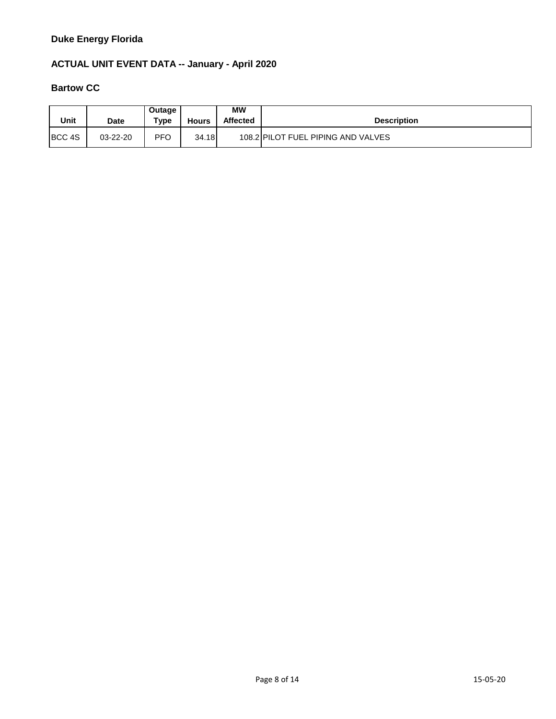### **ACTUAL UNIT EVENT DATA -- January - April 2020**

# **Bartow CC**

| Unit   | <b>Date</b> | Outage<br>Type | <b>Hours</b> | <b>MW</b><br><b>Affected</b> | <b>Description</b>                 |
|--------|-------------|----------------|--------------|------------------------------|------------------------------------|
| BCC 4S | 03-22-20    | <b>PFO</b>     | 34.18        |                              | 108.2 PILOT FUEL PIPING AND VALVES |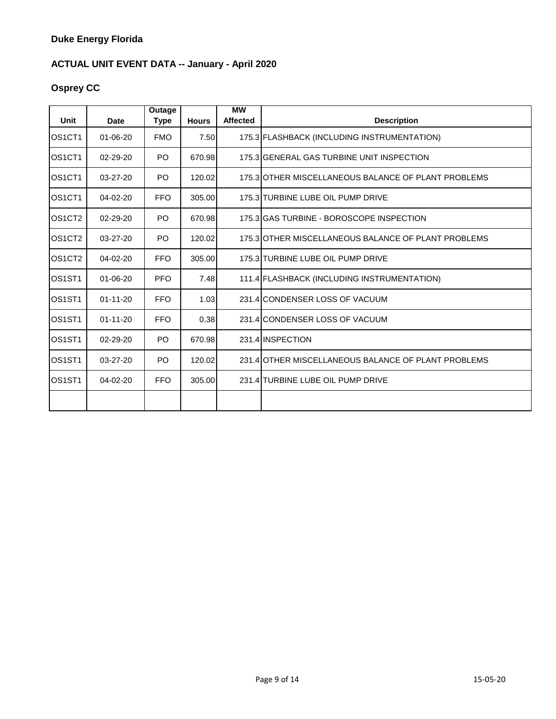# **Osprey CC**

| Unit                            | <b>Date</b>    | Outage<br>Type | <b>Hours</b> | <b>MW</b><br>Affected | <b>Description</b>                                  |
|---------------------------------|----------------|----------------|--------------|-----------------------|-----------------------------------------------------|
| OS <sub>1</sub> CT <sub>1</sub> | $01 - 06 - 20$ | <b>FMO</b>     | 7.50         |                       | 175.3 FLASHBACK (INCLUDING INSTRUMENTATION)         |
| OS <sub>1</sub> CT <sub>1</sub> | 02-29-20       | PO             | 670.98       |                       | 175.3 GENERAL GAS TURBINE UNIT INSPECTION           |
| OS <sub>1</sub> CT <sub>1</sub> | 03-27-20       | P <sub>O</sub> | 120.02       |                       | 175.3 OTHER MISCELLANEOUS BALANCE OF PLANT PROBLEMS |
| OS <sub>1</sub> CT <sub>1</sub> | 04-02-20       | <b>FFO</b>     | 305.00       |                       | 175.3 TURBINE LUBE OIL PUMP DRIVE                   |
| OS <sub>1</sub> CT <sub>2</sub> | 02-29-20       | PO             | 670.98       |                       | 175.3 GAS TURBINE - BOROSCOPE INSPECTION            |
| OS <sub>1</sub> CT <sub>2</sub> | $03 - 27 - 20$ | P <sub>O</sub> | 120.02       |                       | 175.3 OTHER MISCELLANEOUS BALANCE OF PLANT PROBLEMS |
| OS <sub>1</sub> CT <sub>2</sub> | 04-02-20       | <b>FFO</b>     | 305.00       |                       | 175.3 TURBINE LUBE OIL PUMP DRIVE                   |
| OS <sub>1</sub> ST <sub>1</sub> | $01 - 06 - 20$ | <b>PFO</b>     | 7.48         |                       | 111.4 FLASHBACK (INCLUDING INSTRUMENTATION)         |
| OS <sub>1</sub> ST <sub>1</sub> | $01 - 11 - 20$ | <b>FFO</b>     | 1.03         |                       | 231.4 CONDENSER LOSS OF VACUUM                      |
| OS <sub>1</sub> ST <sub>1</sub> | $01 - 11 - 20$ | <b>FFO</b>     | 0.38         |                       | 231.4 CONDENSER LOSS OF VACUUM                      |
| OS <sub>1</sub> ST <sub>1</sub> | $02 - 29 - 20$ | P <sub>O</sub> | 670.98       |                       | 231.4 INSPECTION                                    |
| OS <sub>1</sub> ST <sub>1</sub> | 03-27-20       | PO             | 120.02       |                       | 231.4 OTHER MISCELLANEOUS BALANCE OF PLANT PROBLEMS |
| OS <sub>1</sub> ST <sub>1</sub> | 04-02-20       | <b>FFO</b>     | 305.00       |                       | 231.4 TURBINE LUBE OIL PUMP DRIVE                   |
|                                 |                |                |              |                       |                                                     |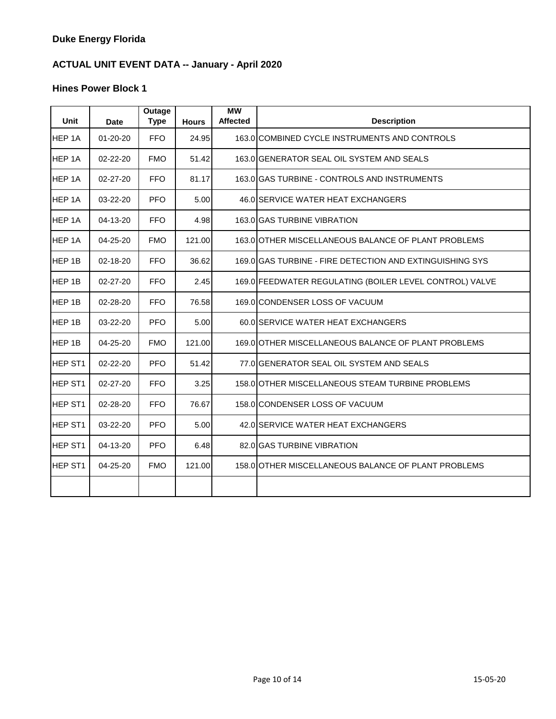| Unit           | Date           | Outage<br><b>Type</b> | <b>Hours</b> | <b>MW</b><br><b>Affected</b> | <b>Description</b>                                       |
|----------------|----------------|-----------------------|--------------|------------------------------|----------------------------------------------------------|
| HEP 1A         | $01 - 20 - 20$ | <b>FFO</b>            | 24.95        |                              | 163.0 COMBINED CYCLE INSTRUMENTS AND CONTROLS            |
| HEP 1A         | 02-22-20       | <b>FMO</b>            | 51.42        |                              | 163.0 GENERATOR SEAL OIL SYSTEM AND SEALS                |
| HEP 1A         | $02 - 27 - 20$ | <b>FFO</b>            | 81.17        |                              | 163.0 GAS TURBINE - CONTROLS AND INSTRUMENTS             |
| HEP 1A         | 03-22-20       | PFO.                  | 5.00         |                              | 46.0 SERVICE WATER HEAT EXCHANGERS                       |
| HEP 1A         | 04-13-20       | FFO.                  | 4.98         |                              | 163.0 GAS TURBINE VIBRATION                              |
| HEP 1A         | 04-25-20       | <b>FMO</b>            | 121.00       |                              | 163.0 OTHER MISCELLANEOUS BALANCE OF PLANT PROBLEMS      |
| HEP 1B         | 02-18-20       | FFO.                  | 36.62        |                              | 169.0 GAS TURBINE - FIRE DETECTION AND EXTINGUISHING SYS |
| HEP 1B         | 02-27-20       | <b>FFO</b>            | 2.45         |                              | 169.0 FEEDWATER REGULATING (BOILER LEVEL CONTROL) VALVE  |
| HEP 1B         | 02-28-20       | <b>FFO</b>            | 76.58        |                              | 169.0 CONDENSER LOSS OF VACUUM                           |
| HEP 1B         | 03-22-20       | <b>PFO</b>            | 5.00         |                              | 60.0 SERVICE WATER HEAT EXCHANGERS                       |
| HEP 1B         | 04-25-20       | <b>FMO</b>            | 121.00       |                              | 169.0 OTHER MISCELLANEOUS BALANCE OF PLANT PROBLEMS      |
| HEP ST1        | 02-22-20       | <b>PFO</b>            | 51.42        |                              | 77.0 GENERATOR SEAL OIL SYSTEM AND SEALS                 |
| <b>HEP ST1</b> | 02-27-20       | <b>FFO</b>            | 3.25         |                              | 158.0 OTHER MISCELLANEOUS STEAM TURBINE PROBLEMS         |
| HEP ST1        | 02-28-20       | <b>FFO</b>            | 76.67        |                              | 158.0 CONDENSER LOSS OF VACUUM                           |
| <b>HEP ST1</b> | 03-22-20       | <b>PFO</b>            | 5.00         |                              | 42.0 SERVICE WATER HEAT EXCHANGERS                       |
| HEP ST1        | 04-13-20       | <b>PFO</b>            | 6.48         |                              | 82.0 GAS TURBINE VIBRATION                               |
| HEP ST1        | 04-25-20       | <b>FMO</b>            | 121.00       |                              | 158.0 OTHER MISCELLANEOUS BALANCE OF PLANT PROBLEMS      |
|                |                |                       |              |                              |                                                          |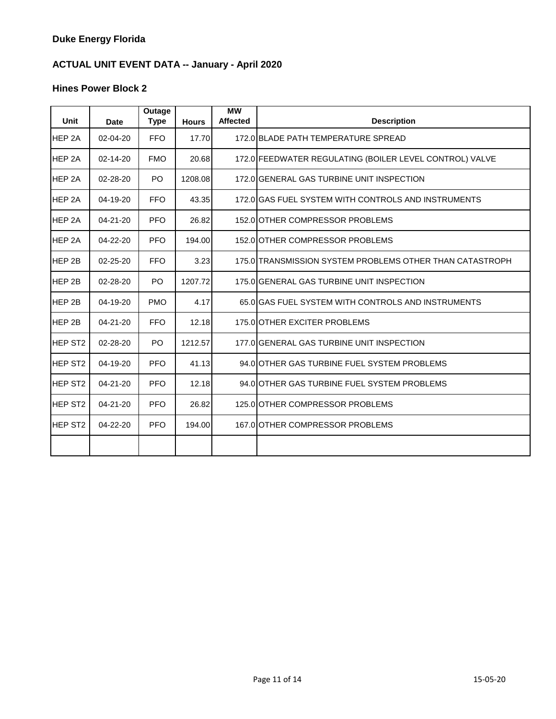| Unit                | <b>Date</b>    | <b>Outage</b><br><b>Type</b> | <b>Hours</b> | МW<br><b>Affected</b> | <b>Description</b>                                       |
|---------------------|----------------|------------------------------|--------------|-----------------------|----------------------------------------------------------|
| HEP <sub>2A</sub>   | 02-04-20       | FFO.                         | 17.70        |                       | 172.0 BLADE PATH TEMPERATURE SPREAD                      |
| HEP 2A              | $02 - 14 - 20$ | <b>FMO</b>                   | 20.68        |                       | 172.0 FEEDWATER REGULATING (BOILER LEVEL CONTROL) VALVE  |
| HEP <sub>2A</sub>   | 02-28-20       | P <sub>O</sub>               | 1208.08      |                       | 172.0 GENERAL GAS TURBINE UNIT INSPECTION                |
| HEP <sub>2A</sub>   | $04 - 19 - 20$ | <b>FFO</b>                   | 43.35        |                       | 172.0 GAS FUEL SYSTEM WITH CONTROLS AND INSTRUMENTS      |
| HEP 2A              | $04 - 21 - 20$ | <b>PFO</b>                   | 26.82        |                       | 152.0 OTHER COMPRESSOR PROBLEMS                          |
| HEP 2A              | 04-22-20       | <b>PFO</b>                   | 194.00       |                       | 152.0 OTHER COMPRESSOR PROBLEMS                          |
| HEP 2B              | $02 - 25 - 20$ | <b>FFO</b>                   | 3.23         |                       | 175.0 TRANSMISSION SYSTEM PROBLEMS OTHER THAN CATASTROPH |
| HEP 2B              | 02-28-20       | P <sub>O</sub>               | 1207.72      |                       | 175.0 GENERAL GAS TURBINE UNIT INSPECTION                |
| HEP 2B              | 04-19-20       | <b>PMO</b>                   | 4.17         |                       | 65.0 GAS FUEL SYSTEM WITH CONTROLS AND INSTRUMENTS       |
| HEP 2B              | 04-21-20       | <b>FFO</b>                   | 12.18        |                       | 175.0 OTHER EXCITER PROBLEMS                             |
| <b>HEP ST2</b>      | 02-28-20       | P <sub>O</sub>               | 1212.57      |                       | 177.0 GENERAL GAS TURBINE UNIT INSPECTION                |
| <b>HEP ST2</b>      | 04-19-20       | <b>PFO</b>                   | 41.13        |                       | 94.0 OTHER GAS TURBINE FUEL SYSTEM PROBLEMS              |
| <b>HEP ST2</b>      | $04 - 21 - 20$ | <b>PFO</b>                   | 12.18        |                       | 94.0 OTHER GAS TURBINE FUEL SYSTEM PROBLEMS              |
| HEP ST <sub>2</sub> | 04-21-20       | <b>PFO</b>                   | 26.82        |                       | 125.0 OTHER COMPRESSOR PROBLEMS                          |
| <b>HEP ST2</b>      | 04-22-20       | <b>PFO</b>                   | 194.00       |                       | 167.0 OTHER COMPRESSOR PROBLEMS                          |
|                     |                |                              |              |                       |                                                          |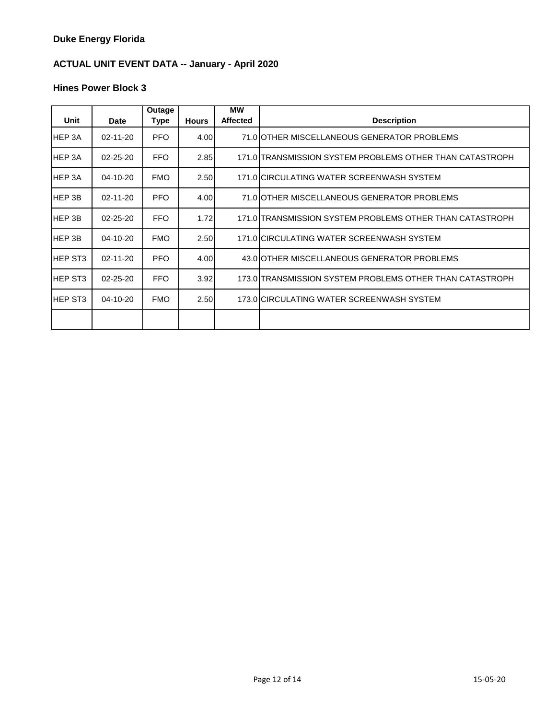| Unit           | Date           | Outage<br>Type | <b>Hours</b> | <b>MW</b><br><b>Affected</b> | <b>Description</b>                                       |
|----------------|----------------|----------------|--------------|------------------------------|----------------------------------------------------------|
| <b>HEP3A</b>   | $02 - 11 - 20$ | <b>PFO</b>     | 4.00         |                              | 71.0 OTHER MISCELLANEOUS GENERATOR PROBLEMS              |
| <b>HEP3A</b>   | 02-25-20       | <b>FFO</b>     | 2.85         |                              | 171.0 TRANSMISSION SYSTEM PROBLEMS OTHER THAN CATASTROPH |
| <b>HEP3A</b>   | 04-10-20       | <b>FMO</b>     | 2.50         |                              | 171.0 CIRCULATING WATER SCREENWASH SYSTEM                |
| <b>HEP3B</b>   | 02-11-20       | <b>PFO</b>     | 4.00         |                              | 71.0 OTHER MISCELLANEOUS GENERATOR PROBLEMS              |
| HEP 3B         | $02 - 25 - 20$ | <b>FFO</b>     | 1.72         |                              | 171.0 TRANSMISSION SYSTEM PROBLEMS OTHER THAN CATASTROPH |
| <b>HEP3B</b>   | 04-10-20       | <b>FMO</b>     | 2.50         |                              | 171.0 CIRCULATING WATER SCREENWASH SYSTEM                |
| <b>HEP ST3</b> | $02 - 11 - 20$ | <b>PFO</b>     | 4.00         |                              | 43.0 OTHER MISCELLANEOUS GENERATOR PROBLEMS              |
| <b>HEP ST3</b> | $02 - 25 - 20$ | <b>FFO</b>     | 3.92         |                              | 173.0 TRANSMISSION SYSTEM PROBLEMS OTHER THAN CATASTROPH |
| <b>HEP ST3</b> | 04-10-20       | <b>FMO</b>     | 2.50         |                              | 173.0 CIRCULATING WATER SCREENWASH SYSTEM                |
|                |                |                |              |                              |                                                          |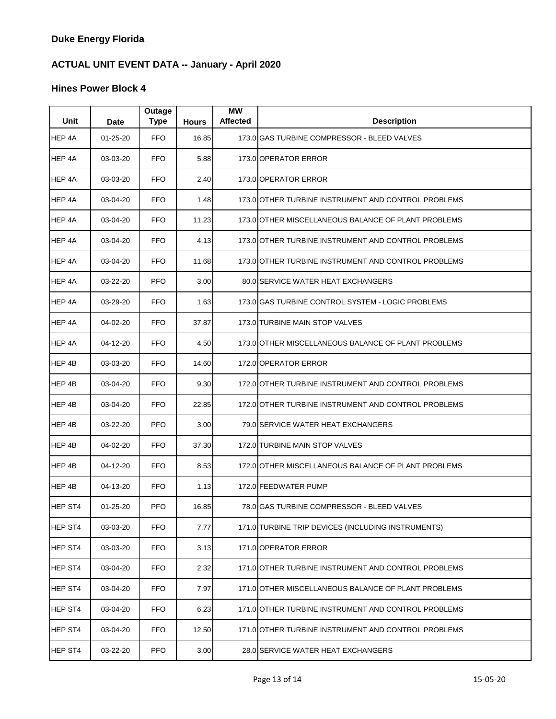| Unit    | <b>Date</b>    | Outage<br><b>Type</b> | <b>Hours</b> | МW<br><b>Affected</b> | <b>Description</b>                                  |
|---------|----------------|-----------------------|--------------|-----------------------|-----------------------------------------------------|
| HEP 4A  | $01 - 25 - 20$ | <b>FFO</b>            | 16.85        |                       | 173.0 GAS TURBINE COMPRESSOR - BLEED VALVES         |
| HEP 4A  | 03-03-20       | FFO.                  | 5.88         |                       | 173.0 OPERATOR ERROR                                |
| HEP 4A  | 03-03-20       | <b>FFO</b>            | 2.40         |                       | 173.0 OPERATOR ERROR                                |
| HEP 4A  | 03-04-20       | <b>FFO</b>            | 1.48         |                       | 173.0 OTHER TURBINE INSTRUMENT AND CONTROL PROBLEMS |
| HEP 4A  | 03-04-20       | <b>FFO</b>            | 11.23        |                       | 173.0 OTHER MISCELLANEOUS BALANCE OF PLANT PROBLEMS |
| HEP 4A  | 03-04-20       | <b>FFO</b>            | 4.13         |                       | 173.0 OTHER TURBINE INSTRUMENT AND CONTROL PROBLEMS |
| HEP 4A  | 03-04-20       | <b>FFO</b>            | 11.68        |                       | 173.0 OTHER TURBINE INSTRUMENT AND CONTROL PROBLEMS |
| HEP 4A  | 03-22-20       | <b>PFO</b>            | 3.00         |                       | 80.0 SERVICE WATER HEAT EXCHANGERS                  |
| HEP 4A  | 03-29-20       | <b>FFO</b>            | 1.63         |                       | 173.0 GAS TURBINE CONTROL SYSTEM - LOGIC PROBLEMS   |
| HEP 4A  | 04-02-20       | <b>FFO</b>            | 37.87        |                       | 173.0 TURBINE MAIN STOP VALVES                      |
| HEP 4A  | 04-12-20       | <b>FFO</b>            | 4.50         |                       | 173.0 OTHER MISCELLANEOUS BALANCE OF PLANT PROBLEMS |
| HEP 4B  | 03-03-20       | <b>FFO</b>            | 14.60        |                       | 172.0 OPERATOR ERROR                                |
| HEP 4B  | 03-04-20       | <b>FFO</b>            | 9.30         |                       | 172.0 OTHER TURBINE INSTRUMENT AND CONTROL PROBLEMS |
| HEP 4B  | 03-04-20       | <b>FFO</b>            | 22.85        |                       | 172.0 OTHER TURBINE INSTRUMENT AND CONTROL PROBLEMS |
| HEP 4B  | 03-22-20       | <b>PFO</b>            | 3.00         |                       | 79.0 SERVICE WATER HEAT EXCHANGERS                  |
| HEP 4B  | 04-02-20       | <b>FFO</b>            | 37.30        |                       | 172.0 TURBINE MAIN STOP VALVES                      |
| HEP 4B  | 04-12-20       | <b>FFO</b>            | 8.53         |                       | 172.0 OTHER MISCELLANEOUS BALANCE OF PLANT PROBLEMS |
| HEP 4B  | 04-13-20       | <b>FFO</b>            | 1.13         |                       | 172.0 FEEDWATER PUMP                                |
| HEP ST4 | $01 - 25 - 20$ | <b>PFO</b>            | 16.85        |                       | 78.0 GAS TURBINE COMPRESSOR - BLEED VALVES          |
| HEP ST4 | 03-03-20       | <b>FFO</b>            | 7.77         |                       | 171.0 TURBINE TRIP DEVICES (INCLUDING INSTRUMENTS)  |
| HEP ST4 | 03-03-20       | <b>FFO</b>            | 3.13         |                       | 171.0 OPERATOR ERROR                                |
| HEP ST4 | 03-04-20       | <b>FFO</b>            | 2.32         |                       | 171.0 OTHER TURBINE INSTRUMENT AND CONTROL PROBLEMS |
| HEP ST4 | 03-04-20       | <b>FFO</b>            | 7.97         |                       | 171.0 OTHER MISCELLANEOUS BALANCE OF PLANT PROBLEMS |
| HEP ST4 | 03-04-20       | <b>FFO</b>            | 6.23         |                       | 171.0 OTHER TURBINE INSTRUMENT AND CONTROL PROBLEMS |
| HEP ST4 | 03-04-20       | <b>FFO</b>            | 12.50        |                       | 171.0 OTHER TURBINE INSTRUMENT AND CONTROL PROBLEMS |
| HEP ST4 | 03-22-20       | <b>PFO</b>            | 3.00         |                       | 28.0 SERVICE WATER HEAT EXCHANGERS                  |